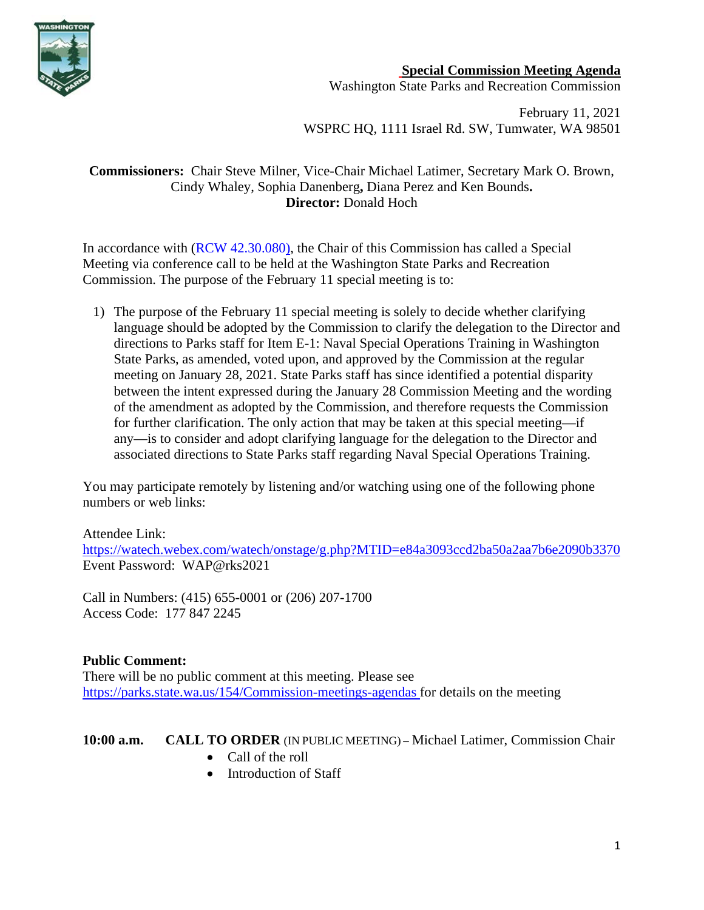

**Special Commission Meeting Agenda**

Washington State Parks and Recreation Commission

February 11, 2021 WSPRC HQ, 1111 Israel Rd. SW, Tumwater, WA 98501

### **Commissioners:** Chair Steve Milner, Vice-Chair Michael Latimer, Secretary Mark O. Brown, Cindy Whaley, Sophia Danenberg**,** Diana Perez and Ken Bounds**. Director:** Donald Hoch

In accordance with [\(RCW 42.30.080\)](https://gcc02.safelinks.protection.outlook.com/?url=http%3A%2F%2Fapp.leg.wa.gov%2FRCW%2Fdefault.aspx%3Fcite%3D42.30.080&data=04%7C01%7CBecki.Ellison%40parks.wa.gov%7C9d0a10a54cda45f96e1a08d8a37f32d5%7C11d0e217264e400a8ba057dcc127d72d%7C0%7C0%7C637439113993792876%7CUnknown%7CTWFpbGZsb3d8eyJWIjoiMC4wLjAwMDAiLCJQIjoiV2luMzIiLCJBTiI6Ik1haWwiLCJXVCI6Mn0%3D%7C1000&sdata=dvFG7wtQixDX%2BxAzXhZJkkn%2Bo1RvVDrbL8ymhX5GnQg%3D&reserved=0), the Chair of this Commission has called a Special Meeting via conference call to be held at the Washington State Parks and Recreation Commission. The purpose of the February 11 special meeting is to:

1) The purpose of the February 11 special meeting is solely to decide whether clarifying language should be adopted by the Commission to clarify the delegation to the Director and directions to Parks staff for Item E-1: Naval Special Operations Training in Washington State Parks, as amended, voted upon, and approved by the Commission at the regular meeting on January 28, 2021. State Parks staff has since identified a potential disparity between the intent expressed during the January 28 Commission Meeting and the wording of the amendment as adopted by the Commission, and therefore requests the Commission for further clarification. The only action that may be taken at this special meeting—if any—is to consider and adopt clarifying language for the delegation to the Director and associated directions to State Parks staff regarding Naval Special Operations Training.

You may participate remotely by listening and/or watching using one of the following phone numbers or web links:

Attendee Link: <https://watech.webex.com/watech/onstage/g.php?MTID=e84a3093ccd2ba50a2aa7b6e2090b3370> Event Password: WAP@rks2021

Call in Numbers: (415) 655-0001 or (206) 207-1700 Access Code: 177 847 2245

# **Public Comment:**

There will be no public comment at this meeting. Please see <https://parks.state.wa.us/154/Commission-meetings-agendas> for details on the meeting

# **10:00 a.m. CALL TO ORDER** (IN PUBLIC MEETING) – Michael Latimer, Commission Chair

- Call of the roll
- Introduction of Staff